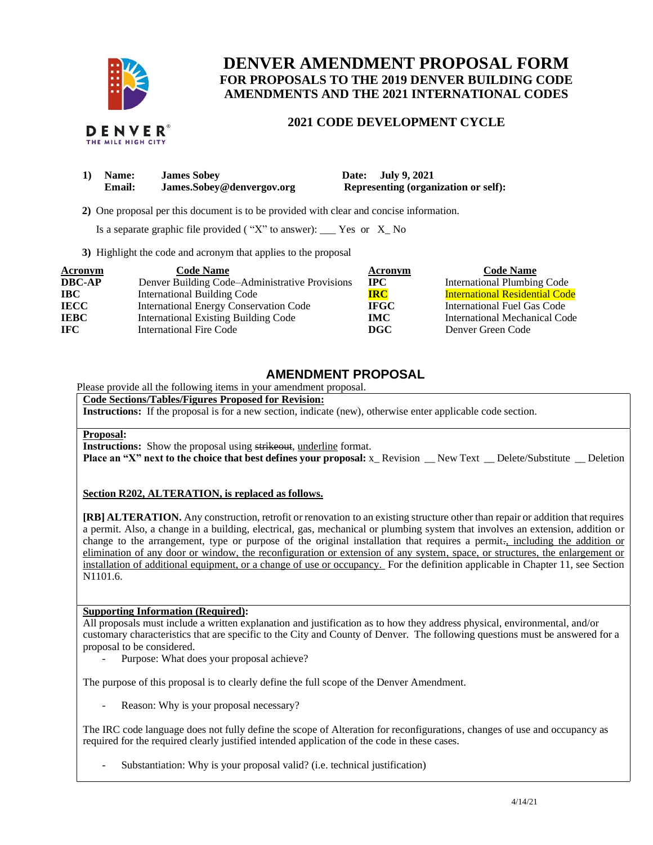

DENVER THE MILE HIGH CITY

# **DENVER AMENDMENT PROPOSAL FORM FOR PROPOSALS TO THE 2019 DENVER BUILDING CODE AMENDMENTS AND THE 2021 INTERNATIONAL CODES**

### **2021 CODE DEVELOPMENT CYCLE**

| 1) Name:      | <b>James Sobey</b>        | Date: July 9, 2021                          |
|---------------|---------------------------|---------------------------------------------|
| <b>Email:</b> | James.Sobey@denvergov.org | <b>Representing (organization or self):</b> |

 **2)** One proposal per this document is to be provided with clear and concise information.

Is a separate graphic file provided ( $"X"$  to answer): \_\_\_ Yes or  $X_N$  No

**3)** Highlight the code and acronym that applies to the proposal

| Acronym       | <b>Code Name</b>                               | Acronym      | <b>Code Name</b>                      |
|---------------|------------------------------------------------|--------------|---------------------------------------|
| <b>DBC-AP</b> | Denver Building Code–Administrative Provisions | $_{\rm IPC}$ | <b>International Plumbing Code</b>    |
| $\bf IBC$     | <b>International Building Code</b>             | <b>IRC</b>   | <b>International Residential Code</b> |
| <b>IECC</b>   | <b>International Energy Conservation Code</b>  | <b>IFGC</b>  | International Fuel Gas Code           |
| <b>IEBC</b>   | <b>International Existing Building Code</b>    | <b>IMC</b>   | International Mechanical Code         |
| <b>IFC</b>    | International Fire Code                        | DGC          | Denver Green Code                     |

## **AMENDMENT PROPOSAL**

Please provide all the following items in your amendment proposal.

### **Code Sections/Tables/Figures Proposed for Revision:**

**Instructions:** If the proposal is for a new section, indicate (new), otherwise enter applicable code section.

#### **Proposal:**

**Instructions:** Show the proposal using strikeout, underline format.

**Place an "X" next to the choice that best defines your proposal:** x\_Revision \_New Text \_ Delete/Substitute \_ Deletion

### **Section R202, ALTERATION, is replaced as follows.**

**[RB] ALTERATION.** Any construction, retrofit or renovation to an existing structure other than repair or addition that requires a permit. Also, a change in a building, electrical, gas, mechanical or plumbing system that involves an extension, addition or change to the arrangement, type or purpose of the original installation that requires a permit<sub>r</sub>, including the addition or elimination of any door or window, the reconfiguration or extension of any system, space, or structures, the enlargement or installation of additional equipment, or a change of use or occupancy. For the definition applicable in Chapter 11, see Section N1101.6.

### **Supporting Information (Required):**

All proposals must include a written explanation and justification as to how they address physical, environmental, and/or customary characteristics that are specific to the City and County of Denver. The following questions must be answered for a proposal to be considered.

- Purpose: What does your proposal achieve?

The purpose of this proposal is to clearly define the full scope of the Denver Amendment.

Reason: Why is your proposal necessary?

The IRC code language does not fully define the scope of Alteration for reconfigurations, changes of use and occupancy as required for the required clearly justified intended application of the code in these cases.

Substantiation: Why is your proposal valid? (i.e. technical justification)